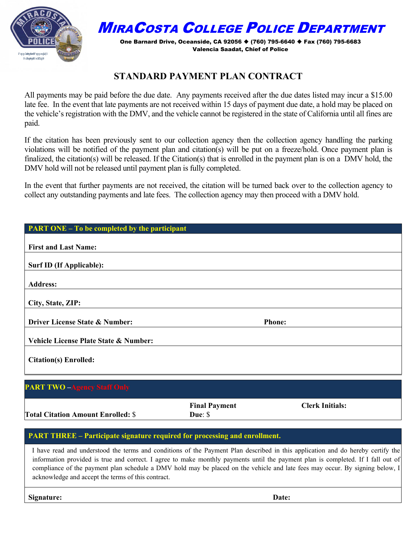

## MIRACOSTA COLLEGE POLICE DEPARTMENT

One Barnard Drive, Oceanside, CA 92056 ♦ (760) 795-6640 ♦ Fax (760) 795-6683 Valencia Saadat, Chief of Police

## **STANDARD PAYMENT PLAN CONTRACT**

All payments may be paid before the due date. Any payments received after the due dates listed may incur a \$15.00 late fee. In the event that late payments are not received within 15 days of payment due date, a hold may be placed on the vehicle's registration with the DMV, and the vehicle cannot be registered in the state of California until all fines are paid.

If the citation has been previously sent to our collection agency then the collection agency handling the parking violations will be notified of the payment plan and citation(s) will be put on a freeze/hold. Once payment plan is finalized, the citation(s) will be released. If the Citation(s) that is enrolled in the payment plan is on a DMV hold, the DMV hold will not be released until payment plan is fully completed.

In the event that further payments are not received, the citation will be turned back over to the collection agency to collect any outstanding payments and late fees. The collection agency may then proceed with a DMV hold.

| <b>PART ONE - To be completed by the participant</b> |               |  |
|------------------------------------------------------|---------------|--|
|                                                      |               |  |
| <b>First and Last Name:</b>                          |               |  |
| Surf ID (If Applicable):                             |               |  |
|                                                      |               |  |
| <b>Address:</b>                                      |               |  |
|                                                      |               |  |
| City, State, ZIP:                                    |               |  |
|                                                      |               |  |
| Driver License State & Number:                       | <b>Phone:</b> |  |
|                                                      |               |  |
| Vehicle License Plate State & Number:                |               |  |
|                                                      |               |  |
| <b>Citation(s) Enrolled:</b>                         |               |  |
|                                                      |               |  |
|                                                      |               |  |
| <b>PART TWO -Agency Staff Only</b>                   |               |  |

**Total Citation Amount Enrolled:** \$

**Final Payment Due**: \$

**Clerk Initials:** 

## **PART THREE – Participate signature required for processing and enrollment.**

I have read and understood the terms and conditions of the Payment Plan described in this application and do hereby certify the information provided is true and correct. I agree to make monthly payments until the payment plan is completed. If I fall out of compliance of the payment plan schedule a DMV hold may be placed on the vehicle and late fees may occur. By signing below, I acknowledge and accept the terms of this contract.

**Signature: Date:**